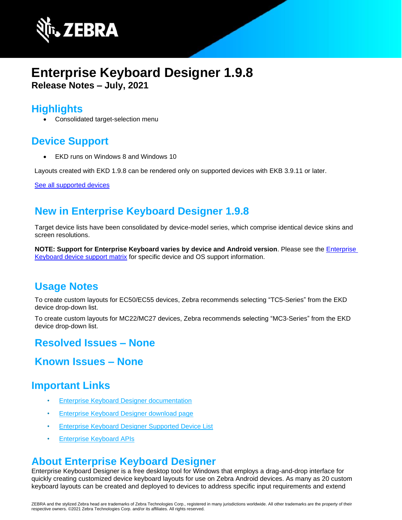

# **Enterprise Keyboard Designer 1.9.8 Release Notes – July, 2021**

#### **Highlights**

• Consolidated target-selection menu

# **Device Support**

• EKD runs on Windows 8 and Windows 10

Layouts created with EKD 1.9.8 can be rendered only on supported devices with EKB 3.9.11 or later.

See all [supported devices](https://www.zebra.com/us/en/support-downloads/software/productivity-apps/enterprise-keyboard.html)

### **New in Enterprise Keyboard Designer 1.9.8**

Target device lists have been consolidated by device-model series, which comprise identical device skins and screen resolutions.

**NOTE: Support for Enterprise Keyboard varies by device and Android version**. Please see the [Enterprise](https://www.zebra.com/us/en/support-downloads/software/productivity-apps/enterprise-keyboard.html#ekb)  [Keyboard device support matrix](https://www.zebra.com/us/en/support-downloads/software/productivity-apps/enterprise-keyboard.html#ekb) for specific device and OS support information.

### **Usage Notes**

To create custom layouts for EC50/EC55 devices, Zebra recommends selecting "TC5-Series" from the EKD device drop-down list.

To create custom layouts for MC22/MC27 devices, Zebra recommends selecting "MC3-Series" from the EKD device drop-down list.

### **Resolved Issues – None**

#### **Known Issues – None**

### **Important Links**

- [Enterprise Keyboard Designer documentation](http://techdocs.zebra.com/ekd/1-9/guide/about/)
- [Enterprise Keyboard Designer download page](https://www.zebra.com/us/en/support-downloads/software/productivity-apps/enterprise-keyboard-designer.html)
- [Enterprise Keyboard Designer Supported Device List](https://www.zebra.com/us/en/support-downloads/software/productivity-apps/enterprise-keyboard.html)
- [Enterprise Keyboard APIs](https://techdocs.zebra.com/enterprise-keyboard/3-9/guide/apis/)

### **About Enterprise Keyboard Designer**

Enterprise Keyboard Designer is a free desktop tool for Windows that employs a drag-and-drop interface for quickly creating customized device keyboard layouts for use on Zebra Android devices. As many as 20 custom keyboard layouts can be created and deployed to devices to address specific input requirements and extend